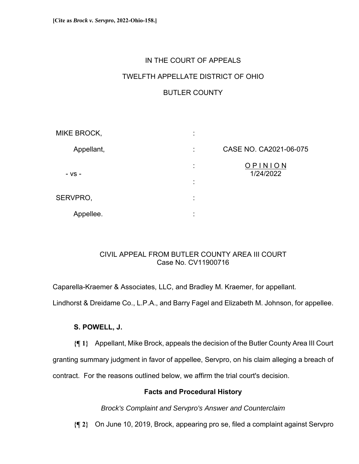# IN THE COURT OF APPEALS TWELFTH APPELLATE DISTRICT OF OHIO BUTLER COUNTY

| MIKE BROCK, | ٠<br>$\blacksquare$           |                        |
|-------------|-------------------------------|------------------------|
| Appellant,  | ÷                             | CASE NO. CA2021-06-075 |
| - VS -      | ٠<br>×<br>٠<br>$\blacksquare$ | OPINION<br>1/24/2022   |
| SERVPRO,    | ٠<br>$\bullet$                |                        |
| Appellee.   | ٠                             |                        |

# CIVIL APPEAL FROM BUTLER COUNTY AREA III COURT Case No. CV11900716

Caparella-Kraemer & Associates, LLC, and Bradley M. Kraemer, for appellant. Lindhorst & Dreidame Co., L.P.A., and Barry Fagel and Elizabeth M. Johnson, for appellee.

# **S. POWELL, J.**

**{¶ 1}** Appellant, Mike Brock, appeals the decision of the Butler County Area III Court

granting summary judgment in favor of appellee, Servpro, on his claim alleging a breach of

contract. For the reasons outlined below, we affirm the trial court's decision.

# **Facts and Procedural History**

*Brock's Complaint and Servpro's Answer and Counterclaim* 

**{¶ 2}** On June 10, 2019, Brock, appearing pro se, filed a complaint against Servpro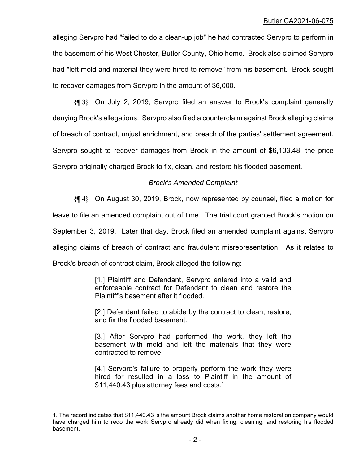alleging Servpro had "failed to do a clean-up job" he had contracted Servpro to perform in the basement of his West Chester, Butler County, Ohio home. Brock also claimed Servpro had "left mold and material they were hired to remove" from his basement. Brock sought to recover damages from Servpro in the amount of \$6,000.

**{¶ 3}** On July 2, 2019, Servpro filed an answer to Brock's complaint generally denying Brock's allegations. Servpro also filed a counterclaim against Brock alleging claims of breach of contract, unjust enrichment, and breach of the parties' settlement agreement. Servpro sought to recover damages from Brock in the amount of \$6,103.48, the price Servpro originally charged Brock to fix, clean, and restore his flooded basement.

# *Brock's Amended Complaint*

**{¶ 4}** On August 30, 2019, Brock, now represented by counsel, filed a motion for leave to file an amended complaint out of time. The trial court granted Brock's motion on September 3, 2019. Later that day, Brock filed an amended complaint against Servpro alleging claims of breach of contract and fraudulent misrepresentation. As it relates to Brock's breach of contract claim, Brock alleged the following:

> [1.] Plaintiff and Defendant, Servpro entered into a valid and enforceable contract for Defendant to clean and restore the Plaintiff's basement after it flooded.

> [2.] Defendant failed to abide by the contract to clean, restore, and fix the flooded basement.

> [3.] After Servpro had performed the work, they left the basement with mold and left the materials that they were contracted to remove.

> [4.] Servpro's failure to properly perform the work they were hired for resulted in a loss to Plaintiff in the amount of \$11,440.43 plus attorney fees and costs.<sup>1</sup>

<sup>1.</sup> The record indicates that \$11,440.43 is the amount Brock claims another home restoration company would have charged him to redo the work Servpro already did when fixing, cleaning, and restoring his flooded basement.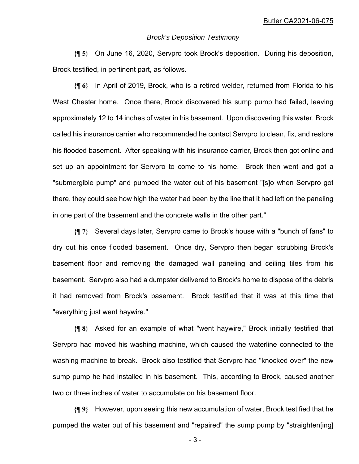#### *Brock's Deposition Testimony*

**{¶ 5}** On June 16, 2020, Servpro took Brock's deposition. During his deposition, Brock testified, in pertinent part, as follows.

**{¶ 6}** In April of 2019, Brock, who is a retired welder, returned from Florida to his West Chester home. Once there, Brock discovered his sump pump had failed, leaving approximately 12 to 14 inches of water in his basement. Upon discovering this water, Brock called his insurance carrier who recommended he contact Servpro to clean, fix, and restore his flooded basement. After speaking with his insurance carrier, Brock then got online and set up an appointment for Servpro to come to his home. Brock then went and got a "submergible pump" and pumped the water out of his basement "[s]o when Servpro got there, they could see how high the water had been by the line that it had left on the paneling in one part of the basement and the concrete walls in the other part."

**{¶ 7}** Several days later, Servpro came to Brock's house with a "bunch of fans" to dry out his once flooded basement. Once dry, Servpro then began scrubbing Brock's basement floor and removing the damaged wall paneling and ceiling tiles from his basement. Servpro also had a dumpster delivered to Brock's home to dispose of the debris it had removed from Brock's basement. Brock testified that it was at this time that "everything just went haywire."

**{¶ 8}** Asked for an example of what "went haywire," Brock initially testified that Servpro had moved his washing machine, which caused the waterline connected to the washing machine to break. Brock also testified that Servpro had "knocked over" the new sump pump he had installed in his basement. This, according to Brock, caused another two or three inches of water to accumulate on his basement floor.

**{¶ 9}** However, upon seeing this new accumulation of water, Brock testified that he pumped the water out of his basement and "repaired" the sump pump by "straighten[ing]

 $-3-$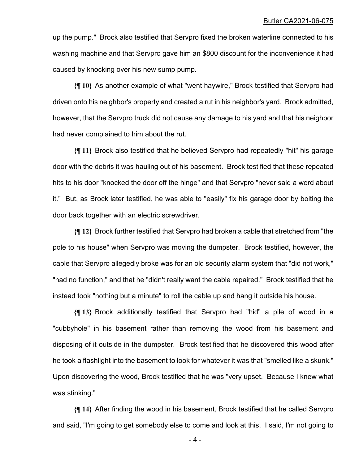#### Butler CA2021-06-075

up the pump." Brock also testified that Servpro fixed the broken waterline connected to his washing machine and that Servpro gave him an \$800 discount for the inconvenience it had caused by knocking over his new sump pump.

**{¶ 10}** As another example of what "went haywire," Brock testified that Servpro had driven onto his neighbor's property and created a rut in his neighbor's yard. Brock admitted, however, that the Servpro truck did not cause any damage to his yard and that his neighbor had never complained to him about the rut.

**{¶ 11}** Brock also testified that he believed Servpro had repeatedly "hit" his garage door with the debris it was hauling out of his basement. Brock testified that these repeated hits to his door "knocked the door off the hinge" and that Servpro "never said a word about it." But, as Brock later testified, he was able to "easily" fix his garage door by bolting the door back together with an electric screwdriver.

**{¶ 12}** Brock further testified that Servpro had broken a cable that stretched from "the pole to his house" when Servpro was moving the dumpster. Brock testified, however, the cable that Servpro allegedly broke was for an old security alarm system that "did not work," "had no function," and that he "didn't really want the cable repaired." Brock testified that he instead took "nothing but a minute" to roll the cable up and hang it outside his house.

**{¶ 13}** Brock additionally testified that Servpro had "hid" a pile of wood in a "cubbyhole" in his basement rather than removing the wood from his basement and disposing of it outside in the dumpster. Brock testified that he discovered this wood after he took a flashlight into the basement to look for whatever it was that "smelled like a skunk." Upon discovering the wood, Brock testified that he was "very upset. Because I knew what was stinking."

**{¶ 14}** After finding the wood in his basement, Brock testified that he called Servpro and said, "I'm going to get somebody else to come and look at this. I said, I'm not going to

 $-4-$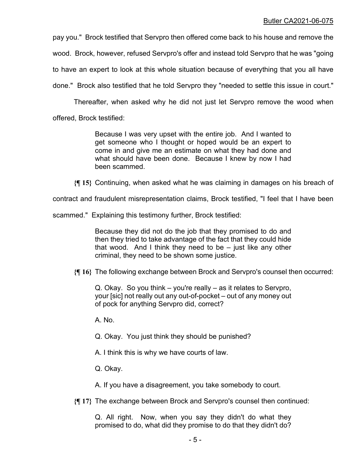pay you." Brock testified that Servpro then offered come back to his house and remove the

wood. Brock, however, refused Servpro's offer and instead told Servpro that he was "going

to have an expert to look at this whole situation because of everything that you all have

done." Brock also testified that he told Servpro they "needed to settle this issue in court."

Thereafter, when asked why he did not just let Servpro remove the wood when

offered, Brock testified:

Because I was very upset with the entire job. And I wanted to get someone who I thought or hoped would be an expert to come in and give me an estimate on what they had done and what should have been done. Because I knew by now I had been scammed.

**{¶ 15}** Continuing, when asked what he was claiming in damages on his breach of

contract and fraudulent misrepresentation claims, Brock testified, "I feel that I have been

scammed." Explaining this testimony further, Brock testified:

Because they did not do the job that they promised to do and then they tried to take advantage of the fact that they could hide that wood. And I think they need to be – just like any other criminal, they need to be shown some justice.

**{¶ 16}** The following exchange between Brock and Servpro's counsel then occurred:

Q. Okay. So you think – you're really – as it relates to Servpro, your [sic] not really out any out-of-pocket – out of any money out of pock for anything Servpro did, correct?

A. No.

Q. Okay. You just think they should be punished?

A. I think this is why we have courts of law.

Q. Okay.

A. If you have a disagreement, you take somebody to court.

**{¶ 17}** The exchange between Brock and Servpro's counsel then continued:

Q. All right. Now, when you say they didn't do what they promised to do, what did they promise to do that they didn't do?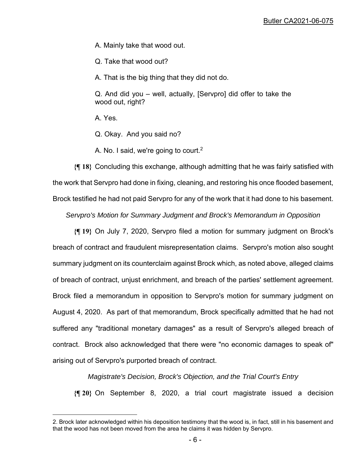A. Mainly take that wood out.

Q. Take that wood out?

A. That is the big thing that they did not do.

Q. And did you – well, actually, [Servpro] did offer to take the wood out, right?

A. Yes.

Q. Okay. And you said no?

A. No. I said, we're going to court.<sup>2</sup>

**{¶ 18}** Concluding this exchange, although admitting that he was fairly satisfied with the work that Servpro had done in fixing, cleaning, and restoring his once flooded basement, Brock testified he had not paid Servpro for any of the work that it had done to his basement.

*Servpro's Motion for Summary Judgment and Brock's Memorandum in Opposition* 

**{¶ 19}** On July 7, 2020, Servpro filed a motion for summary judgment on Brock's breach of contract and fraudulent misrepresentation claims. Servpro's motion also sought summary judgment on its counterclaim against Brock which, as noted above, alleged claims of breach of contract, unjust enrichment, and breach of the parties' settlement agreement. Brock filed a memorandum in opposition to Servpro's motion for summary judgment on August 4, 2020. As part of that memorandum, Brock specifically admitted that he had not suffered any "traditional monetary damages" as a result of Servpro's alleged breach of contract. Brock also acknowledged that there were "no economic damages to speak of" arising out of Servpro's purported breach of contract.

*Magistrate's Decision, Brock's Objection, and the Trial Court's Entry*

**{¶ 20}** On September 8, 2020, a trial court magistrate issued a decision

<sup>2.</sup> Brock later acknowledged within his deposition testimony that the wood is, in fact, still in his basement and that the wood has not been moved from the area he claims it was hidden by Servpro.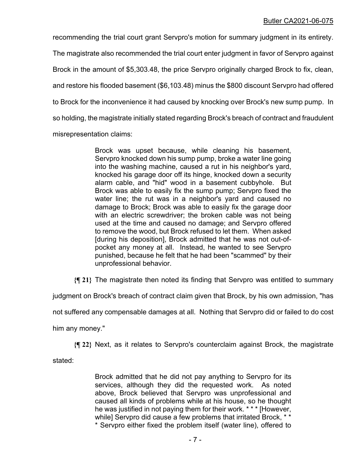recommending the trial court grant Servpro's motion for summary judgment in its entirety. The magistrate also recommended the trial court enter judgment in favor of Servpro against Brock in the amount of \$5,303.48, the price Servpro originally charged Brock to fix, clean, and restore his flooded basement (\$6,103.48) minus the \$800 discount Servpro had offered to Brock for the inconvenience it had caused by knocking over Brock's new sump pump. In so holding, the magistrate initially stated regarding Brock's breach of contract and fraudulent misrepresentation claims:

> Brock was upset because, while cleaning his basement, Servpro knocked down his sump pump, broke a water line going into the washing machine, caused a rut in his neighbor's yard, knocked his garage door off its hinge, knocked down a security alarm cable, and "hid" wood in a basement cubbyhole. But Brock was able to easily fix the sump pump; Servpro fixed the water line; the rut was in a neighbor's yard and caused no damage to Brock; Brock was able to easily fix the garage door with an electric screwdriver; the broken cable was not being used at the time and caused no damage; and Servpro offered to remove the wood, but Brock refused to let them. When asked [during his deposition], Brock admitted that he was not out-ofpocket any money at all. Instead, he wanted to see Servpro punished, because he felt that he had been "scammed" by their unprofessional behavior.

**{¶ 21}** The magistrate then noted its finding that Servpro was entitled to summary

judgment on Brock's breach of contract claim given that Brock, by his own admission, "has

not suffered any compensable damages at all. Nothing that Servpro did or failed to do cost

him any money."

**{¶ 22}** Next, as it relates to Servpro's counterclaim against Brock, the magistrate

stated:

Brock admitted that he did not pay anything to Servpro for its services, although they did the requested work. As noted above, Brock believed that Servpro was unprofessional and caused all kinds of problems while at his house, so he thought he was justified in not paying them for their work. \* \* \* [However, while] Servpro did cause a few problems that irritated Brock, \*\* \* Servpro either fixed the problem itself (water line), offered to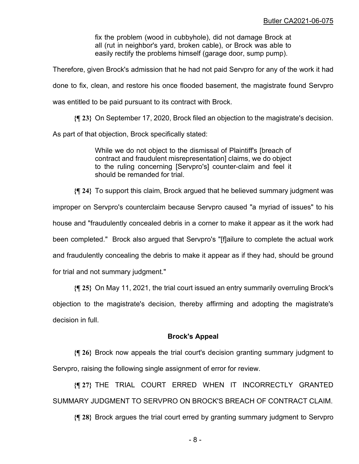fix the problem (wood in cubbyhole), did not damage Brock at all (rut in neighbor's yard, broken cable), or Brock was able to easily rectify the problems himself (garage door, sump pump).

Therefore, given Brock's admission that he had not paid Servpro for any of the work it had done to fix, clean, and restore his once flooded basement, the magistrate found Servpro was entitled to be paid pursuant to its contract with Brock.

**{¶ 23}** On September 17, 2020, Brock filed an objection to the magistrate's decision.

As part of that objection, Brock specifically stated:

While we do not object to the dismissal of Plaintiff's [breach of contract and fraudulent misrepresentation] claims, we do object to the ruling concerning [Servpro's] counter-claim and feel it should be remanded for trial.

**{¶ 24}** To support this claim, Brock argued that he believed summary judgment was improper on Servpro's counterclaim because Servpro caused "a myriad of issues" to his house and "fraudulently concealed debris in a corner to make it appear as it the work had been completed." Brock also argued that Servpro's "[f]ailure to complete the actual work and fraudulently concealing the debris to make it appear as if they had, should be ground for trial and not summary judgment."

**{¶ 25}** On May 11, 2021, the trial court issued an entry summarily overruling Brock's objection to the magistrate's decision, thereby affirming and adopting the magistrate's decision in full.

## **Brock's Appeal**

**{¶ 26}** Brock now appeals the trial court's decision granting summary judgment to Servpro, raising the following single assignment of error for review.

**{¶ 27}** THE TRIAL COURT ERRED WHEN IT INCORRECTLY GRANTED SUMMARY JUDGMENT TO SERVPRO ON BROCK'S BREACH OF CONTRACT CLAIM.

**{¶ 28}** Brock argues the trial court erred by granting summary judgment to Servpro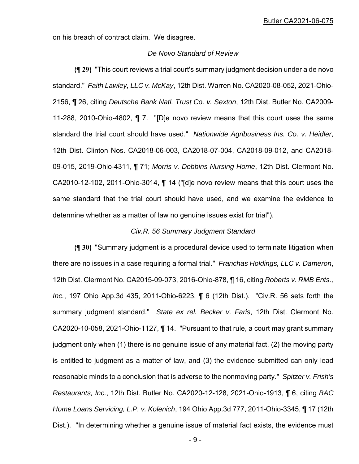on his breach of contract claim. We disagree.

## *De Novo Standard of Review*

**{¶ 29}** "This court reviews a trial court's summary judgment decision under a de novo standard." *Faith Lawley, LLC v. McKay*, 12th Dist. Warren No. CA2020-08-052, 2021-Ohio-2156, ¶ 26, citing *Deutsche Bank Natl. Trust Co. v. Sexton*, 12th Dist. Butler No. CA2009- 11-288, 2010-Ohio-4802, ¶ 7. "[D]e novo review means that this court uses the same standard the trial court should have used." *Nationwide Agribusiness Ins. Co. v. Heidler*, 12th Dist. Clinton Nos. CA2018-06-003, CA2018-07-004, CA2018-09-012, and CA2018- 09-015, 2019-Ohio-4311, ¶ 71; *Morris v. Dobbins Nursing Home*, 12th Dist. Clermont No. CA2010-12-102, 2011-Ohio-3014, ¶ 14 ("[d]e novo review means that this court uses the same standard that the trial court should have used, and we examine the evidence to determine whether as a matter of law no genuine issues exist for trial").

#### *Civ.R. 56 Summary Judgment Standard*

**{¶ 30}** "Summary judgment is a procedural device used to terminate litigation when there are no issues in a case requiring a formal trial." *Franchas Holdings, LLC v. Dameron*, 12th Dist. Clermont No. CA2015-09-073, 2016-Ohio-878, ¶ 16, citing *Roberts v. RMB Ents., Inc.*, 197 Ohio App.3d 435, 2011-Ohio-6223, ¶ 6 (12th Dist.). "Civ.R. 56 sets forth the summary judgment standard." *State ex rel. Becker v. Faris*, 12th Dist. Clermont No. CA2020-10-058, 2021-Ohio-1127, ¶ 14. "Pursuant to that rule, a court may grant summary judgment only when (1) there is no genuine issue of any material fact, (2) the moving party is entitled to judgment as a matter of law, and (3) the evidence submitted can only lead reasonable minds to a conclusion that is adverse to the nonmoving party." *Spitzer v. Frish's Restaurants, Inc.*, 12th Dist. Butler No. CA2020-12-128, 2021-Ohio-1913, ¶ 6, citing *BAC Home Loans Servicing, L.P. v. Kolenich*, 194 Ohio App.3d 777, 2011-Ohio-3345, ¶ 17 (12th Dist.). "In determining whether a genuine issue of material fact exists, the evidence must

 $-9-$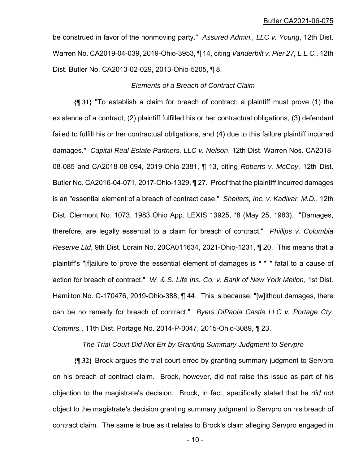be construed in favor of the nonmoving party." *Assured Admin., LLC v. Young*, 12th Dist. Warren No. CA2019-04-039, 2019-Ohio-3953, ¶ 14, citing *Vanderbilt v. Pier 27, L.L.C.*, 12th Dist. Butler No. CA2013-02-029, 2013-Ohio-5205, ¶ 8.

### *Elements of a Breach of Contract Claim*

**{¶ 31}** "To establish a claim for breach of contract, a plaintiff must prove (1) the existence of a contract, (2) plaintiff fulfilled his or her contractual obligations, (3) defendant failed to fulfill his or her contractual obligations, and (4) due to this failure plaintiff incurred damages." *Capital Real Estate Partners, LLC v. Nelson*, 12th Dist. Warren Nos. CA2018- 08-085 and CA2018-08-094, 2019-Ohio-2381, ¶ 13, citing *Roberts v. McCoy*, 12th Dist. Butler No. CA2016-04-071, 2017-Ohio-1329, ¶ 27. Proof that the plaintiff incurred damages is an "essential element of a breach of contract case." *Shelters, Inc. v. Kadivar, M.D.*, 12th Dist. Clermont No. 1073, 1983 Ohio App. LEXIS 13925, \*8 (May 25, 1983). "Damages, therefore, are legally essential to a claim for breach of contract." *Phillips v. Columbia Reserve Ltd*, 9th Dist. Lorain No. 20CA011634, 2021-Ohio-1231, ¶ 20. This means that a plaintiff's "[f]ailure to prove the essential element of damages is \* \* \* fatal to a cause of action for breach of contract." *W. & S. Life Ins. Co. v. Bank of New York Mellon*, 1st Dist. Hamilton No. C-170476, 2019-Ohio-388, ¶ 44. This is because, "[w]ithout damages, there can be no remedy for breach of contract." *Byers DiPaola Castle LLC v. Portage Cty. Commrs.*, 11th Dist. Portage No. 2014-P-0047, 2015-Ohio-3089, *¶* 23.

## *The Trial Court Did Not Err by Granting Summary Judgment to Servpro*

**{¶ 32}** Brock argues the trial court erred by granting summary judgment to Servpro on his breach of contract claim. Brock, however, did not raise this issue as part of his objection to the magistrate's decision. Brock, in fact, specifically stated that he *did not* object to the magistrate's decision granting summary judgment to Servpro on his breach of contract claim. The same is true as it relates to Brock's claim alleging Servpro engaged in

- 10 -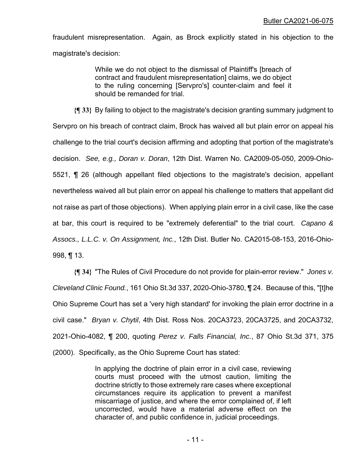fraudulent misrepresentation. Again, as Brock explicitly stated in his objection to the magistrate's decision:

> While we do not object to the dismissal of Plaintiff's [breach of contract and fraudulent misrepresentation] claims, we do object to the ruling concerning [Servpro's] counter-claim and feel it should be remanded for trial.

**{¶ 33}** By failing to object to the magistrate's decision granting summary judgment to Servpro on his breach of contract claim, Brock has waived all but plain error on appeal his challenge to the trial court's decision affirming and adopting that portion of the magistrate's decision. *See, e.g., Doran v. Doran*, 12th Dist. Warren No. CA2009-05-050, 2009-Ohio-5521, ¶ 26 (although appellant filed objections to the magistrate's decision, appellant nevertheless waived all but plain error on appeal his challenge to matters that appellant did not raise as part of those objections). When applying plain error in a civil case, like the case at bar, this court is required to be "extremely deferential" to the trial court. *Capano & Assocs., L.L.C. v. On Assignment, Inc.*, 12th Dist. Butler No. CA2015-08-153, 2016-Ohio-998, ¶ 13.

**{¶ 34}** "The Rules of Civil Procedure do not provide for plain-error review." *Jones v. Cleveland Clinic Found.*, 161 Ohio St.3d 337, 2020-Ohio-3780, ¶ 24. Because of this, "[t]he Ohio Supreme Court has set a 'very high standard' for invoking the plain error doctrine in a civil case." *Bryan v. Chytil*, 4th Dist. Ross Nos. 20CA3723, 20CA3725, and 20CA3732, 2021-Ohio-4082, ¶ 200, quoting *Perez v. Falls Financial, Inc.*, 87 Ohio St.3d 371, 375 (2000). Specifically, as the Ohio Supreme Court has stated:

> In applying the doctrine of plain error in a civil case, reviewing courts must proceed with the utmost caution, limiting the doctrine strictly to those extremely rare cases where exceptional circumstances require its application to prevent a manifest miscarriage of justice, and where the error complained of, if left uncorrected, would have a material adverse effect on the character of, and public confidence in, judicial proceedings.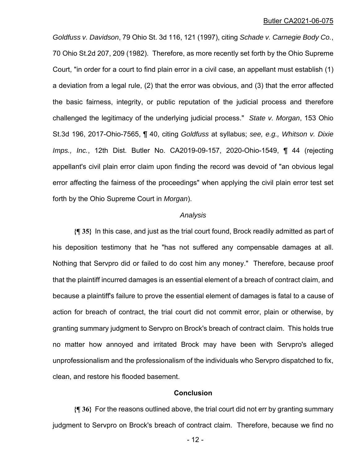#### Butler CA2021-06-075

*Goldfuss v. Davidson*, 79 Ohio St. 3d 116, 121 (1997), citing *Schade v. Carnegie Body Co.*, 70 Ohio St.2d 207, 209 (1982). Therefore, as more recently set forth by the Ohio Supreme Court, "in order for a court to find plain error in a civil case, an appellant must establish (1) a deviation from a legal rule, (2) that the error was obvious, and (3) that the error affected the basic fairness, integrity, or public reputation of the judicial process and therefore challenged the legitimacy of the underlying judicial process." *State v. Morgan*, 153 Ohio St.3d 196, 2017-Ohio-7565, ¶ 40, citing *Goldfuss* at syllabus; *see, e.g., Whitson v. Dixie Imps., Inc.*, 12th Dist. Butler No. CA2019-09-157, 2020-Ohio-1549, ¶ 44 (rejecting appellant's civil plain error claim upon finding the record was devoid of "an obvious legal error affecting the fairness of the proceedings" when applying the civil plain error test set forth by the Ohio Supreme Court in *Morgan*).

#### *Analysis*

**{¶ 35}** In this case, and just as the trial court found, Brock readily admitted as part of his deposition testimony that he "has not suffered any compensable damages at all. Nothing that Servpro did or failed to do cost him any money." Therefore, because proof that the plaintiff incurred damages is an essential element of a breach of contract claim, and because a plaintiff's failure to prove the essential element of damages is fatal to a cause of action for breach of contract, the trial court did not commit error, plain or otherwise, by granting summary judgment to Servpro on Brock's breach of contract claim. This holds true no matter how annoyed and irritated Brock may have been with Servpro's alleged unprofessionalism and the professionalism of the individuals who Servpro dispatched to fix, clean, and restore his flooded basement.

## **Conclusion**

**{¶ 36}** For the reasons outlined above, the trial court did not err by granting summary judgment to Servpro on Brock's breach of contract claim. Therefore, because we find no

- 12 -